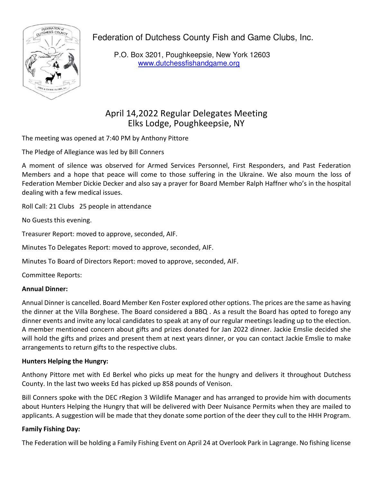Federation of Dutchess County Fish and Game Clubs, Inc.



P.O. Box 3201, Poughkeepsie, New York 12603 www.dutchessfishandgame.org

# April 14,2022 Regular Delegates Meeting Elks Lodge, Poughkeepsie, NY

The meeting was opened at 7:40 PM by Anthony Pittore

The Pledge of Allegiance was led by Bill Conners

A moment of silence was observed for Armed Services Personnel, First Responders, and Past Federation Members and a hope that peace will come to those suffering in the Ukraine. We also mourn the loss of Federation Member Dickie Decker and also say a prayer for Board Member Ralph Haffner who's in the hospital dealing with a few medical issues.

Roll Call: 21 Clubs 25 people in attendance

No Guests this evening.

Treasurer Report: moved to approve, seconded, AIF.

Minutes To Delegates Report: moved to approve, seconded, AIF.

Minutes To Board of Directors Report: moved to approve, seconded, AIF.

Committee Reports:

## **Annual Dinner:**

Annual Dinner is cancelled. Board Member Ken Foster explored other options. The prices are the same as having the dinner at the Villa Borghese. The Board considered a BBQ . As a result the Board has opted to forego any dinner events and invite any local candidates to speak at any of our regular meetings leading up to the election. A member mentioned concern about gifts and prizes donated for Jan 2022 dinner. Jackie Emslie decided she will hold the gifts and prizes and present them at next years dinner, or you can contact Jackie Emslie to make arrangements to return gifts to the respective clubs.

## **Hunters Helping the Hungry:**

Anthony Pittore met with Ed Berkel who picks up meat for the hungry and delivers it throughout Dutchess County. In the last two weeks Ed has picked up 858 pounds of Venison.

Bill Conners spoke with the DEC rRegion 3 Wildlife Manager and has arranged to provide him with documents about Hunters Helping the Hungry that will be delivered with Deer Nuisance Permits when they are mailed to applicants. A suggestion will be made that they donate some portion of the deer they cull to the HHH Program.

## **Family Fishing Day:**

The Federation will be holding a Family Fishing Event on April 24 at Overlook Park in Lagrange. No fishing license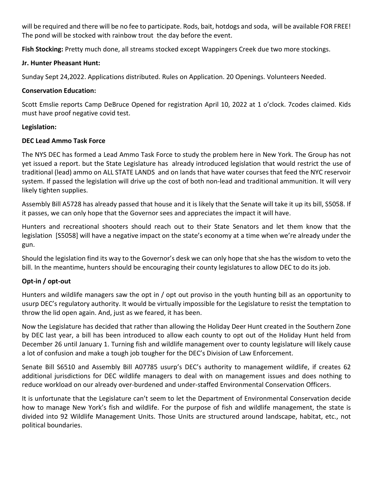will be required and there will be no fee to participate. Rods, bait, hotdogs and soda, will be available FOR FREE! The pond will be stocked with rainbow trout the day before the event.

**Fish Stocking:** Pretty much done, all streams stocked except Wappingers Creek due two more stockings.

# **Jr. Hunter Pheasant Hunt:**

Sunday Sept 24,2022. Applications distributed. Rules on Application. 20 Openings. Volunteers Needed.

# **Conservation Education:**

Scott Emslie reports Camp DeBruce Opened for registration April 10, 2022 at 1 o'clock. 7codes claimed. Kids must have proof negative covid test.

# **Legislation:**

# **DEC Lead Ammo Task Force**

The NYS DEC has formed a Lead Ammo Task Force to study the problem here in New York. The Group has not yet issued a report. but the State Legislature has already introduced legislation that would restrict the use of traditional (lead) ammo on ALL STATE LANDS and on lands that have water courses that feed the NYC reservoir system. If passed the legislation will drive up the cost of both non-lead and traditional ammunition. It will very likely tighten supplies.

Assembly Bill A5728 has already passed that house and it is likely that the Senate will take it up its bill, S5058. If it passes, we can only hope that the Governor sees and appreciates the impact it will have.

Hunters and recreational shooters should reach out to their State Senators and let them know that the legislation [S5058] will have a negative impact on the state's economy at a time when we're already under the gun.

Should the legislation find its way to the Governor's desk we can only hope that she has the wisdom to veto the bill. In the meantime, hunters should be encouraging their county legislatures to allow DEC to do its job.

# **Opt-in / opt-out**

Hunters and wildlife managers saw the opt in / opt out proviso in the youth hunting bill as an opportunity to usurp DEC's regulatory authority. It would be virtually impossible for the Legislature to resist the temptation to throw the lid open again. And, just as we feared, it has been.

Now the Legislature has decided that rather than allowing the Holiday Deer Hunt created in the Southern Zone by DEC last year, a bill has been introduced to allow each county to opt out of the Holiday Hunt held from December 26 until January 1. Turning fish and wildlife management over to county legislature will likely cause a lot of confusion and make a tough job tougher for the DEC's Division of Law Enforcement.

Senate Bill S6510 and Assembly Bill A07785 usurp's DEC's authority to management wildlife, if creates 62 additional jurisdictions for DEC wildlife managers to deal with on management issues and does nothing to reduce workload on our already over-burdened and under-staffed Environmental Conservation Officers.

It is unfortunate that the Legislature can't seem to let the Department of Environmental Conservation decide how to manage New York's fish and wildlife. For the purpose of fish and wildlife management, the state is divided into 92 Wildlife Management Units. Those Units are structured around landscape, habitat, etc., not political boundaries.